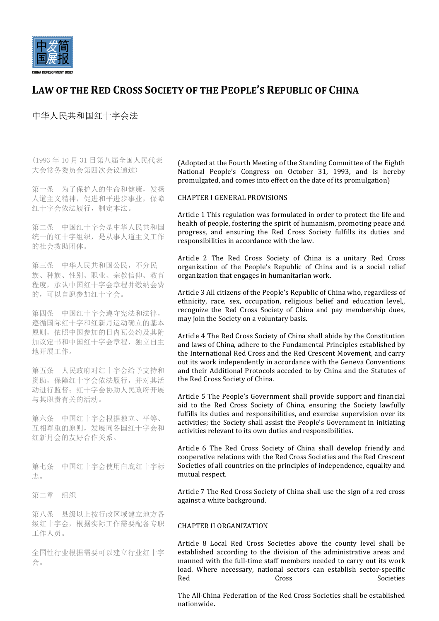

# LAW OF THE RED CROSS SOCIETY OF THE PEOPLE'S REPUBLIC OF CHINA

中华人民共和国红十字会法

(1993 年 10 月 31 日第八届全国人民代表 大会常务委员会第四次会议通过)

第一条 为了保护人的生命和健康,发扬 人道主义精神,促进和平进步事业,保障 红十字会依法履行,制定本法。

第二条 中国红十字会是中华人民共和国 统一的红十字组织,是从事人道主义工作 的社会救助团体。

第三条 中华人民共和国公民,不分民 族、种族、性别、职业、宗教信仰、教育 程度,承认中国红十字会章程并缴纳会费 的,可以自愿参加红十字会。

第四条 中国红十字会遵守宪法和法律, 遵循国际红十字和红新月运动确立的基本 原则,依照中国参加的日内瓦公约及其附 加议定书和中国红十字会章程,独立自主 地开展工作。

第五条 人民政府对红十字会给予支持和 资助,保障红十字会依法履行,并对其活 动进行监督;红十字会协助人民政府开展 与其职责有关的活动。

第六条 中国红十字会根据独立、平等、 互相尊重的原则,发展同各国红十字会和 红新月会的友好合作关系。

第七条 中国红十字会使用白底红十字标 志。

第二章 组织

第八条 县级以上按行政区域建立地方各 级红十字会,根据实际工作需要配备专职 工作人员。

全国性行业根据需要可以建立行业红十字 会。

(Adopted at the Fourth Meeting of the Standing Committee of the Eighth National People's Congress on October 31, 1993, and is hereby promulgated, and comes into effect on the date of its promulgation)

## CHAPTER I GENERAL PROVISIONS

Article 1 This regulation was formulated in order to protect the life and health of people, fostering the spirit of humanism, promoting peace and progress, and ensuring the Red Cross Society fulfills its duties and responsibilities in accordance with the law.

Article 2 The Red Cross Society of China is a unitary Red Cross organization of the People's Republic of China and is a social relief organization that engages in humanitarian work.

Article 3 All citizens of the People's Republic of China who, regardless of ethnicity, race, sex, occupation, religious belief and education level. recognize the Red Cross Society of China and pay membership dues, may join the Society on a voluntary basis.

Article 4 The Red Cross Society of China shall abide by the Constitution and laws of China, adhere to the Fundamental Principles established by the International Red Cross and the Red Crescent Movement, and carry out its work independently in accordance with the Geneva Conventions and their Additional Protocols acceded to by China and the Statutes of the Red Cross Society of China.

Article 5 The People's Government shall provide support and financial aid to the Red Cross Society of China, ensuring the Society lawfully fulfills its duties and responsibilities, and exercise supervision over its activities; the Society shall assist the People's Government in initiating activities relevant to its own duties and responsibilities.

Article 6 The Red Cross Society of China shall develop friendly and cooperative relations with the Red Cross Societies and the Red Crescent Societies of all countries on the principles of independence, equality and mutual respect.

Article 7 The Red Cross Society of China shall use the sign of a red cross against a white background.

### CHAPTER II ORGANIZATION

Article 8 Local Red Cross Societies above the county level shall be established according to the division of the administrative areas and manned with the full-time staff members needed to carry out its work load. Where necessary, national sectors can establish sector-specific Red Cross Cross Societies

The All-China Federation of the Red Cross Societies shall be established nationwide.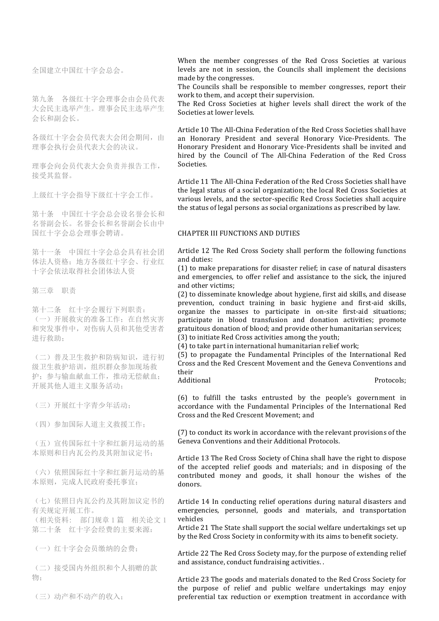全国建立中国红十字会总会。

第九条 各级红十字会理事会由会员代表 大会民主选举产生。理事会民主选举产生 会长和副会长。

各级红十字会会员代表大会闭会期间,由 理事会执行会员代表大会的决议。

理事会向会员代表大会负责并报告工作, 接受其监督。

上级红十字会指导下级红十字会工作。

第十条 中国红十字会总会设名誉会长和 名誉副会长。名誉会长和名誉副会长由中 国红十字会总会理事会聘请。

第十一条 中国红十字会总会具有社会团 体法人资格;地方各级红十字会、行业红 十字会依法取得社会团体法人资

第三章 职责

第十二条 红十字会履行下列职责: (一)开展救灾的准备工作;在自然灾害 和突发事件中,对伤病人员和其他受害者 进行救助;

(二)普及卫生救护和防病知识,进行初 级卫生救护培训,组织群众参加现场救 护;参与输血献血工作,推动无偿献血; 开展其他人道主义服务活动;

(三)开展红十字青少年活动;

(四)参加国际人道主义救援工作;

(五)宣传国际红十字和红新月运动的基 本原则和日内瓦公约及其附加议定书;

(六)依照国际红十字和红新月运动的基 本原则,完成人民政府委托事宜;

(七)依照日内瓦公约及其附加议定书的 有关规定开展工作。

(相关资料: 部门规章 1 篇 相关论文 1 第二十条 红十字会经费的主要来源:

(一)红十字会会员缴纳的会费;

(二)接受国内外组织和个人捐赠的款 物;

(三)动产和不动产的收入;

When the member congresses of the Red Cross Societies at various levels are not in session, the Councils shall implement the decisions made by the congresses.

The Councils shall be responsible to member congresses, report their work to them, and accept their supervision.

The Red Cross Societies at higher levels shall direct the work of the Societies at lower levels.

Article 10 The All-China Federation of the Red Cross Societies shall have an Honorary President and several Honorary Vice-Presidents. The Honorary President and Honorary Vice-Presidents shall be invited and hired by the Council of The All-China Federation of the Red Cross Societies.

Article 11 The All-China Federation of the Red Cross Societies shall have the legal status of a social organization; the local Red Cross Societies at various levels, and the sector-specific Red Cross Societies shall acquire the status of legal persons as social organizations as prescribed by law.

#### **CHAPTER III FUNCTIONS AND DUTIES**

Article 12 The Red Cross Society shall perform the following functions and duties:

 $(1)$  to make preparations for disaster relief; in case of natural disasters and emergencies, to offer relief and assistance to the sick, the injured and other victims:

(2) to disseminate knowledge about hygiene, first aid skills, and disease prevention, conduct training in basic hygiene and first-aid skills, organize the masses to participate in on-site first-aid situations; participate in blood transfusion and donation activities; promote gratuitous donation of blood; and provide other humanitarian services; (3) to initiate Red Cross activities among the vouth:

 $(4)$  to take part in international humanitarian relief work;

(5) to propagate the Fundamental Principles of the International Red Cross and the Red Crescent Movement and the Geneva Conventions and their

Additional **Protocols**:

(6) to fulfill the tasks entrusted by the people's government in accordance with the Fundamental Principles of the International Red Cross and the Red Crescent Movement; and

 $(7)$  to conduct its work in accordance with the relevant provisions of the Geneva Conventions and their Additional Protocols.

Article 13 The Red Cross Society of China shall have the right to dispose of the accepted relief goods and materials; and in disposing of the contributed money and goods, it shall honour the wishes of the donors.

Article 14 In conducting relief operations during natural disasters and emergencies, personnel, goods and materials, and transportation vehicles 

Article 21 The State shall support the social welfare undertakings set up by the Red Cross Society in conformity with its aims to benefit society.

Article 22 The Red Cross Society may, for the purpose of extending relief and assistance, conduct fundraising activities. .

Article 23 The goods and materials donated to the Red Cross Society for the purpose of relief and public welfare undertakings may enjoy preferential tax reduction or exemption treatment in accordance with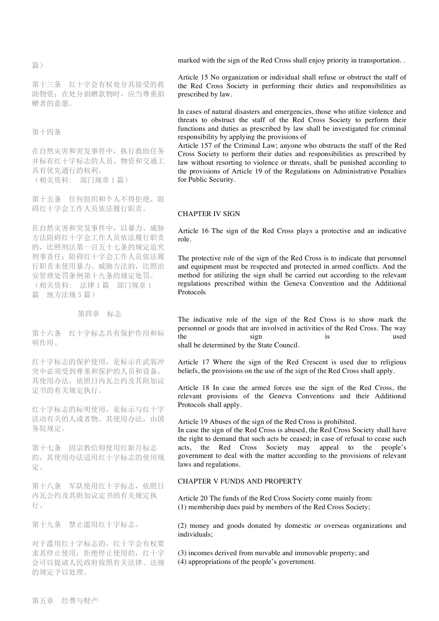篇)

第十三条 红十字会有权处分其接受的救 助物资;在处分捐赠款物时,应当尊重捐 赠者的意愿。

第十四条

在自然灾害和突发事件中,执行救助任务 并标有红十字标志的人员、物资和交通工 具有优先通行的权利。 (相关资料: 部门规章 1 篇)

第十五条 任何组织和个人不得拒绝、阻 碍红十字会工作人员依法履行职责。

在自然灾害和突发事件中,以暴力、威胁 方法阻碍红十字会工作人员依法履行职责 的,比照刑法第一百五十七条的规定追究 刑事责任;阻碍红十字会工作人员依法履 行职责未使用暴力、威胁方法的,比照治 安管理处罚条例第十九条的规定处罚。 (相关资料: 法律 1 篇 部门规章 1 篇 地方法规 5 篇)

第四章 标志

第十六条 红十字标志具有保护作用和标 明作用。

红十字标志的保护使用,是标示在武装冲 突中必须受到尊重和保护的人员和设备。 其使用办法,依照日内瓦公约及其附加议 定书的有关规定执行。

红十字标志的标明使用,是标示与红十字 活动有关的人或者物。其使用办法,由国 务院规定。

第十七条 因宗教信仰使用红新月标志 的,其使用办法适用红十字标志的使用规 定。

第十八条 军队使用红十字标志,依照日 内瓦公约及其附加议定书的有关规定执 行。

第十九条 禁止滥用红十字标志。

对于滥用红十字标志的,红十字会有权要 求其停止使用;拒绝停止使用的,红十字 会可以提请人民政府按照有关法律、法规 的规定予以处理。

marked with the sign of the Red Cross shall enjoy priority in transportation. .

Article 15 No organization or individual shall refuse or obstruct the staff of the Red Cross Society in performing their duties and responsibilities as prescribed by law.

In cases of natural disasters and emergencies, those who utilize violence and threats to obstruct the staff of the Red Cross Society to perform their functions and duties as prescribed by law shall be investigated for criminal responsibility by applying the provisions of

Article 157 of the Criminal Law; anyone who obstructs the staff of the Red Cross Society to perform their duties and responsibilities as prescribed by law without resorting to violence or threats, shall be punished according to the provisions of Article 19 of the Regulations on Administrative Penalties for Public Security.

#### CHAPTER IV SIGN

Article 16 The sign of the Red Cross plays a protective and an indicative role.

The protective role of the sign of the Red Cross is to indicate that personnel and equipment must be respected and protected in armed conflicts. And the method for utilizing the sign shall be carried out according to the relevant regulations prescribed within the Geneva Convention and the Additional Protocols

The indicative role of the sign of the Red Cross is to show mark the personnel or goods that are involved in activities of the Red Cross. The way the sign is used shall be determined by the State Council.

Article 17 Where the sign of the Red Crescent is used due to religious beliefs, the provisions on the use of the sign of the Red Cross shall apply.

Article 18 In case the armed forces use the sign of the Red Cross, the relevant provisions of the Geneva Conventions and their Additional Protocols shall apply.

Article 19 Abuses of the sign of the Red Cross is prohibited.

In case the sign of the Red Cross is abused, the Red Cross Society shall have the right to demand that such acts be ceased; in case of refusal to cease such acts, the Red Cross Society may appeal to the people's government to deal with the matter according to the provisions of relevant laws and regulations.

## CHAPTER V FUNDS AND PROPERTY

Article 20 The funds of the Red Cross Society come mainly from: (1) membership dues paid by members of the Red Cross Society;

(2) money and goods donated by domestic or overseas organizations and individuals;

(3) incomes derived from movable and immovable property; and (4) appropriations of the people's government.